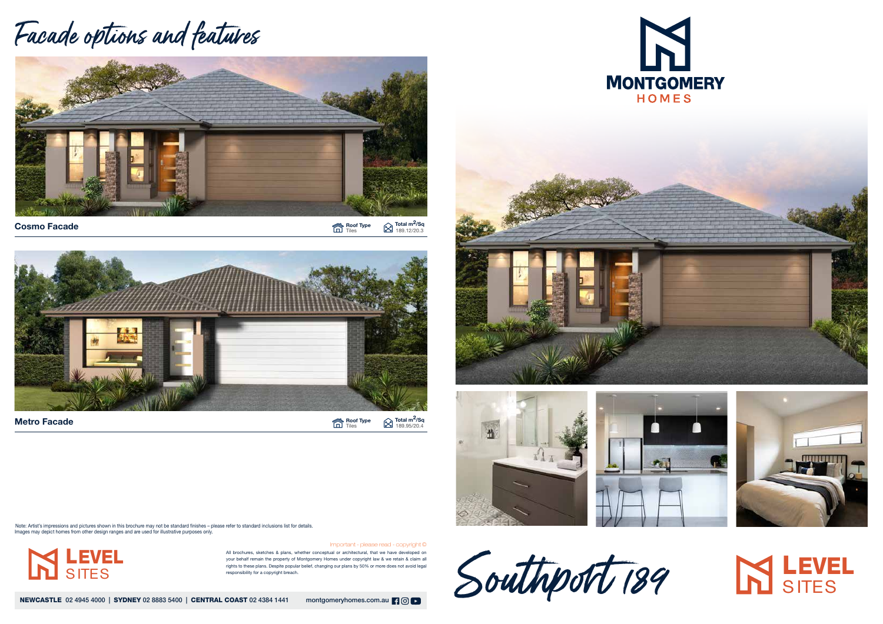All brochures, sketches & plans, whether conceptual or architectural, that we have developed on your behalf remain the property of Montgomery Homes under copyright law & we retain & claim all rights to these plans. Despite popular belief, changing our plans by 50% or more does not avoid legal responsibility for a copyright breach.

NEWCASTLE 02 4945 4000 | SYDNEY 02 8883 5400 | CENTRAL COAST 02 4384 1441 montgomeryhomes.com.au | 9 0 | 0







Important - please read - copyright ©

## Facade options and features









## **SITES**

LEVEL

**SITES** 

Cosmo Facade

Note: Artist's impressions and pictures shown in this brochure may not be standard finishes – please refer to standard inclusions list for details. Images may depict homes from other design ranges and are used for illustrative purposes only.



Roof Type Tiles Total m<sup>2</sup>/Sq 189.12/20.3

Roof Type Tiles 189.95/20.4